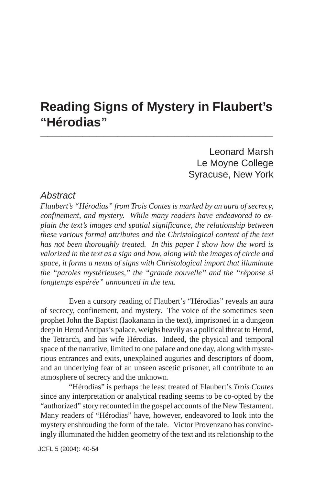# **Reading Signs of Mystery in Flaubert's "Hérodias" \_\_\_\_\_\_\_\_\_\_\_\_\_\_\_\_\_\_\_\_\_\_\_\_\_\_\_\_\_\_\_\_\_**

Leonard Marsh Le Moyne College Syracuse, New York

## *Abstract*

*Flaubert's "Hérodias" from Trois Contes is marked by an aura of secrecy, confinement, and mystery. While many readers have endeavored to explain the text's images and spatial significance, the relationship between these various formal attributes and the Christological content of the text has not been thoroughly treated. In this paper I show how the word is valorized in the text as a sign and how, along with the images of circle and space, it forms a nexus of signs with Christological import that illuminate the "paroles mystérieuses," the "grande nouvelle" and the "réponse si longtemps espérée" announced in the text.*

Even a cursory reading of Flaubert's "Hérodias" reveals an aura of secrecy, confinement, and mystery. The voice of the sometimes seen prophet John the Baptist (Iaokanann in the text), imprisoned in a dungeon deep in Herod Antipas's palace, weighs heavily as a political threat to Herod, the Tetrarch, and his wife Hérodias. Indeed, the physical and temporal space of the narrative, limited to one palace and one day, along with mysterious entrances and exits, unexplained auguries and descriptors of doom, and an underlying fear of an unseen ascetic prisoner, all contribute to an atmosphere of secrecy and the unknown.

"Hérodias" is perhaps the least treated of Flaubert's *Trois Contes* since any interpretation or analytical reading seems to be co-opted by the "authorized" story recounted in the gospel accounts of the New Testament. Many readers of "Hérodias" have, however, endeavored to look into the mystery enshrouding the form of the tale. Victor Provenzano has convincingly illuminated the hidden geometry of the text and its relationship to the

JCFL 5 (2004): 40-54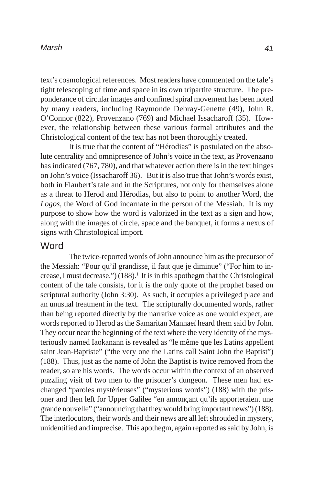text's cosmological references. Most readers have commented on the tale's tight telescoping of time and space in its own tripartite structure. The preponderance of circular images and confined spiral movement has been noted by many readers, including Raymonde Debray-Genette (49), John R. O'Connor (822), Provenzano (769) and Michael Issacharoff (35). However, the relationship between these various formal attributes and the Christological content of the text has not been thoroughly treated.

It is true that the content of "Hérodias" is postulated on the absolute centrality and omnipresence of John's voice in the text, as Provenzano has indicated (767, 780), and that whatever action there is in the text hinges on John's voice (Issacharoff 36). But it is also true that John's words exist, both in Flaubert's tale and in the Scriptures, not only for themselves alone as a threat to Herod and Hérodias, but also to point to another Word, the *Logos*, the Word of God incarnate in the person of the Messiah. It is my purpose to show how the word is valorized in the text as a sign and how, along with the images of circle, space and the banquet, it forms a nexus of signs with Christological import.

## **Word**

The twice-reported words of John announce him as the precursor of the Messiah: "Pour qu'il grandisse, il faut que je diminue" ("For him to increase, I must decrease.")  $(188)$ .<sup>1</sup> It is in this apothegm that the Christological content of the tale consists, for it is the only quote of the prophet based on scriptural authority (John 3:30). As such, it occupies a privileged place and an unusual treatment in the text. The scripturally documented words, rather than being reported directly by the narrative voice as one would expect, are words reported to Herod as the Samaritan Mannaeï heard them said by John. They occur near the beginning of the text where the very identity of the mysteriously named Iaokanann is revealed as "le même que les Latins appellent saint Jean-Baptiste" ("the very one the Latins call Saint John the Baptist") (188). Thus, just as the name of John the Baptist is twice removed from the reader, so are his words. The words occur within the context of an observed puzzling visit of two men to the prisoner's dungeon. These men had exchanged "paroles mystérieuses" ("mysterious words") (188) with the prisoner and then left for Upper Galilee "en annonçant qu'ils apporteraient une grande nouvelle" ("announcing that they would bring important news") (188). The interlocutors, their words and their news are all left shrouded in mystery, unidentified and imprecise. This apothegm, again reported as said by John, is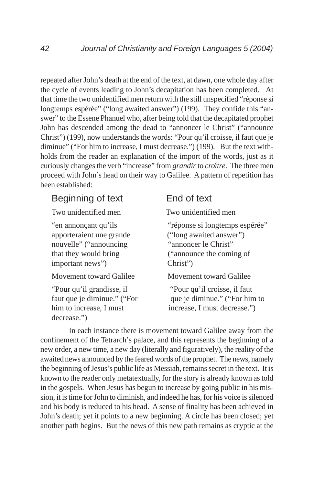repeated after John's death at the end of the text, at dawn, one whole day after the cycle of events leading to John's decapitation has been completed. At that time the two unidentified men return with the still unspecified "réponse si longtemps espérée" ("long awaited answer") (199). They confide this "answer" to the Essene Phanuel who, after being told that the decapitated prophet John has descended among the dead to "annoncer le Christ" ("announce Christ") (199), now understands the words: "Pour qu'il croisse, il faut que je diminue" ("For him to increase, I must decrease.") (199). But the text withholds from the reader an explanation of the import of the words, just as it curiously changes the verb "increase" from *grandir* to *croître*. The three men proceed with John's head on their way to Galilee. A pattern of repetition has been established:

## Beginning of text End of text

Two unidentified men Two unidentified men

apporteraient une grande ("long awaited answer") nouvelle" ("announcing "annoncer le Christ" important news") Christ")

## Movement toward Galilee Movement toward Galilee

"Pour qu'il grandisse, il "Pour qu'il croisse, il faut decrease.")

"en annonçant qu'ils "réponse si longtemps espérée" that they would bring ("announce the coming of

faut que je diminue." ("For que je diminue." ("For him to him to increase, I must increase, I must decrease.")

In each instance there is movement toward Galilee away from the confinement of the Tetrarch's palace, and this represents the beginning of a new order, a new time, a new day (literally and figuratively), the reality of the awaited news announced by the feared words of the prophet. The news, namely the beginning of Jesus's public life as Messiah, remains secret in the text. It is known to the reader only metatextually, for the story is already known as told in the gospels. When Jesus has begun to increase by going public in his mission, it is time for John to diminish, and indeed he has, for his voice is silenced and his body is reduced to his head. A sense of finality has been achieved in John's death; yet it points to a new beginning. A circle has been closed; yet another path begins. But the news of this new path remains as cryptic at the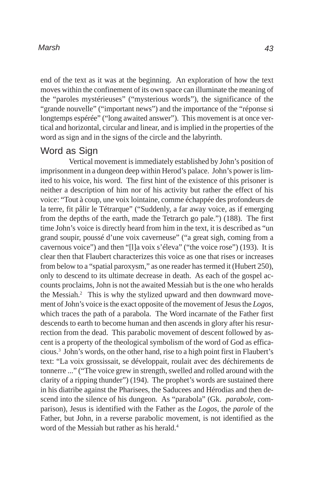end of the text as it was at the beginning. An exploration of how the text moves within the confinement of its own space can illuminate the meaning of the "paroles mystérieuses" ("mysterious words"), the significance of the "grande nouvelle" ("important news") and the importance of the "réponse si longtemps espérée" ("long awaited answer"). This movement is at once vertical and horizontal, circular and linear, and is implied in the properties of the word as sign and in the signs of the circle and the labyrinth.

## Word as Sign

Vertical movement is immediately established by John's position of imprisonment in a dungeon deep within Herod's palace. John's power is limited to his voice, his word. The first hint of the existence of this prisoner is neither a description of him nor of his activity but rather the effect of his voice: "Tout à coup, une voix lointaine, comme échappée des profondeurs de la terre, fit pâlir le Tétrarque" ("Suddenly, a far away voice, as if emerging from the depths of the earth, made the Tetrarch go pale.") (188). The first time John's voice is directly heard from him in the text, it is described as "un grand soupir, poussé d'une voix caverneuse" ("a great sigh, coming from a cavernous voice") and then "[l]a voix s'éleva" ("the voice rose") (193). It is clear then that Flaubert characterizes this voice as one that rises or increases from below to a "spatial paroxysm," as one reader has termed it (Hubert 250), only to descend to its ultimate decrease in death. As each of the gospel accounts proclaims, John is not the awaited Messiah but is the one who heralds the Messiah.<sup>2</sup> This is why the stylized upward and then downward movement of John's voice is the exact opposite of the movement of Jesus the *Logos*, which traces the path of a parabola. The Word incarnate of the Father first descends to earth to become human and then ascends in glory after his resurrection from the dead. This parabolic movement of descent followed by ascent is a property of the theological symbolism of the word of God as efficacious.3 John's words, on the other hand, rise to a high point first in Flaubert's text: "La voix grossissait, se développait, roulait avec des déchirements de tonnerre ..." ("The voice grew in strength, swelled and rolled around with the clarity of a ripping thunder") (194). The prophet's words are sustained there in his diatribe against the Pharisees, the Saducees and Hérodias and then descend into the silence of his dungeon. As "parabola" (Gk. *parabole*, comparison), Jesus is identified with the Father as the *Logos*, the *parole* of the Father, but John, in a reverse parabolic movement, is not identified as the word of the Messiah but rather as his herald.<sup>4</sup>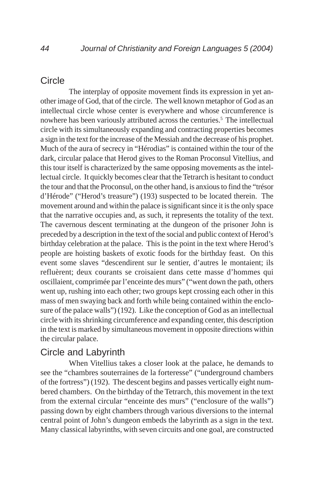## **Circle**

The interplay of opposite movement finds its expression in yet another image of God, that of the circle. The well known metaphor of God as an intellectual circle whose center is everywhere and whose circumference is nowhere has been variously attributed across the centuries.<sup>5</sup> The intellectual circle with its simultaneously expanding and contracting properties becomes a sign in the text for the increase of the Messiah and the decrease of his prophet. Much of the aura of secrecy in "Hérodias" is contained within the tour of the dark, circular palace that Herod gives to the Roman Proconsul Vitellius, and this tour itself is characterized by the same opposing movements as the intellectual circle. It quickly becomes clear that the Tetrarch is hesitant to conduct the tour and that the Proconsul, on the other hand, is anxious to find the "trésor d'Hérode" ("Herod's treasure") (193) suspected to be located therein. The movement around and within the palace is significant since it is the only space that the narrative occupies and, as such, it represents the totality of the text. The cavernous descent terminating at the dungeon of the prisoner John is preceded by a description in the text of the social and public context of Herod's birthday celebration at the palace. This is the point in the text where Herod's people are hoisting baskets of exotic foods for the birthday feast. On this event some slaves "descendirent sur le sentier, d'autres le montaient; ils refluèrent; deux courants se croisaient dans cette masse d'hommes qui oscillaient, comprimée par l'enceinte des murs" ("went down the path, others went up, rushing into each other; two groups kept crossing each other in this mass of men swaying back and forth while being contained within the enclosure of the palace walls") (192). Like the conception of God as an intellectual circle with its shrinking circumference and expanding center, this description in the text is marked by simultaneous movement in opposite directions within the circular palace.

## Circle and Labyrinth

When Vitellius takes a closer look at the palace, he demands to see the "chambres souterraines de la forteresse" ("underground chambers of the fortress") (192). The descent begins and passes vertically eight numbered chambers. On the birthday of the Tetrarch, this movement in the text from the external circular "enceinte des murs" ("enclosure of the walls") passing down by eight chambers through various diversions to the internal central point of John's dungeon embeds the labyrinth as a sign in the text. Many classical labyrinths, with seven circuits and one goal, are constructed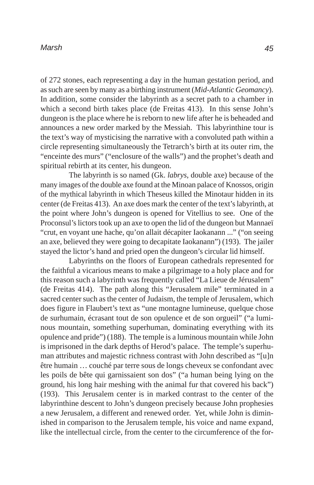of 272 stones, each representing a day in the human gestation period, and as such are seen by many as a birthing instrument (*Mid-Atlantic Geomancy*). In addition, some consider the labyrinth as a secret path to a chamber in which a second birth takes place (de Freitas 413). In this sense John's dungeon is the place where he is reborn to new life after he is beheaded and announces a new order marked by the Messiah. This labyrinthine tour is the text's way of mysticising the narrative with a convoluted path within a circle representing simultaneously the Tetrarch's birth at its outer rim, the "enceinte des murs" ("enclosure of the walls") and the prophet's death and spiritual rebirth at its center, his dungeon.

The labyrinth is so named (Gk. *labrys*, double axe) because of the many images of the double axe found at the Minoan palace of Knossos, origin of the mythical labyrinth in which Theseus killed the Minotaur hidden in its center (de Freitas 413). An axe does mark the center of the text's labyrinth, at the point where John's dungeon is opened for Vitellius to see. One of the Proconsul's lictors took up an axe to open the lid of the dungeon but Mannaeï "crut, en voyant une hache, qu'on allait décapiter Iaokanann ..." ("on seeing an axe, believed they were going to decapitate Iaokanann") (193). The jailer stayed the lictor's hand and pried open the dungeon's circular lid himself.

Labyrinths on the floors of European cathedrals represented for the faithful a vicarious means to make a pilgrimage to a holy place and for this reason such a labyrinth was frequently called "La Lieue de Jérusalem" (de Freitas 414). The path along this "Jerusalem mile" terminated in a sacred center such as the center of Judaism, the temple of Jerusalem, which does figure in Flaubert's text as "une montagne lumineuse, quelque chose de surhumain, écrasant tout de son opulence et de son orgueil" ("a luminous mountain, something superhuman, dominating everything with its opulence and pride") (188). The temple is a luminous mountain while John is imprisoned in the dark depths of Herod's palace. The temple's superhuman attributes and majestic richness contrast with John described as "[u]n être humain … couché par terre sous de longs cheveux se confondant avec les poils de bête qui garnissaient son dos" ("a human being lying on the ground, his long hair meshing with the animal fur that covered his back") (193). This Jerusalem center is in marked contrast to the center of the labyrinthine descent to John's dungeon precisely because John prophesies a new Jerusalem, a different and renewed order. Yet, while John is diminished in comparison to the Jerusalem temple, his voice and name expand, like the intellectual circle, from the center to the circumference of the for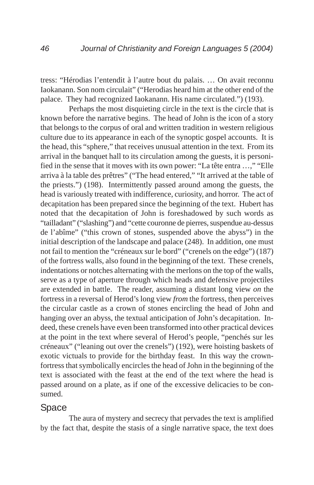tress: "Hérodias l'entendit à l'autre bout du palais. … On avait reconnu Iaokanann. Son nom circulait" ("Herodias heard him at the other end of the palace. They had recognized Iaokanann. His name circulated.") (193).

Perhaps the most disquieting circle in the text is the circle that is known before the narrative begins. The head of John is the icon of a story that belongs to the corpus of oral and written tradition in western religious culture due to its appearance in each of the synoptic gospel accounts. It is the head, this "sphere," that receives unusual attention in the text. From its arrival in the banquet hall to its circulation among the guests, it is personified in the sense that it moves with its own power: "La tête entra …," "Elle arriva à la table des prêtres" ("The head entered," "It arrived at the table of the priests.") (198). Intermittently passed around among the guests, the head is variously treated with indifference, curiosity, and horror. The act of decapitation has been prepared since the beginning of the text. Hubert has noted that the decapitation of John is foreshadowed by such words as "tailladant" ("slashing") and "cette couronne de pierres, suspendue au-dessus de l'abîme" ("this crown of stones, suspended above the abyss") in the initial description of the landscape and palace (248). In addition, one must not fail to mention the "créneaux sur le bord" ("crenels on the edge") (187) of the fortress walls, also found in the beginning of the text. These crenels, indentations or notches alternating with the merlons on the top of the walls, serve as a type of aperture through which heads and defensive projectiles are extended in battle. The reader, assuming a distant long view *on* the fortress in a reversal of Herod's long view *from* the fortress, then perceives the circular castle as a crown of stones encircling the head of John and hanging over an abyss, the textual anticipation of John's decapitation. Indeed, these crenels have even been transformed into other practical devices at the point in the text where several of Herod's people, "penchés sur les créneaux" ("leaning out over the crenels") (192), were hoisting baskets of exotic victuals to provide for the birthday feast. In this way the crownfortress that symbolically encircles the head of John in the beginning of the text is associated with the feast at the end of the text where the head is passed around on a plate, as if one of the excessive delicacies to be consumed.

## Space

The aura of mystery and secrecy that pervades the text is amplified by the fact that, despite the stasis of a single narrative space, the text does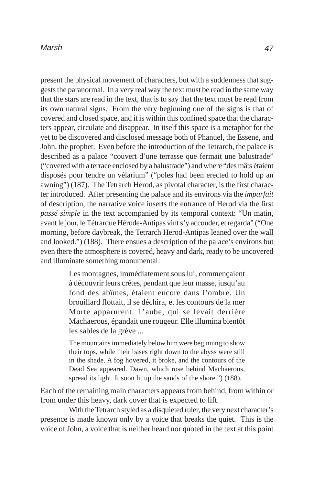present the physical movement of characters, but with a suddenness that suggests the paranormal. In a very real way the text must be read in the same way that the stars are read in the text, that is to say that the text must be read from its own natural signs. From the very beginning one of the signs is that of covered and closed space, and it is within this confined space that the characters appear, circulate and disappear. In itself this space is a metaphor for the yet to be discovered and disclosed message both of Phanuel, the Essene, and John, the prophet. Even before the introduction of the Tetrarch, the palace is described as a palace "couvert d'une terrasse que fermait une balustrade" ("covered with a terrace enclosed by a balustrade") and where "des mâts étaient disposés pour tendre un vélarium" ("poles had been erected to hold up an awning") (187). The Tetrarch Herod, as pivotal character, is the first character introduced. After presenting the palace and its environs via the *imparfait* of description, the narrative voice inserts the entrance of Herod via the first *passé simple* in the text accompanied by its temporal context: "Un matin, avant le jour, le Tétrarque Hérode-Antipas vint s'y accouder, et regarda" ("One morning, before daybreak, the Tetrarch Herod-Antipas leaned over the wall and looked.") (188). There ensues a description of the palace's environs but even there the atmosphere is covered, heavy and dark, ready to be uncovered and illuminate something monumental:

> Les montagnes, immédiatement sous lui, commençaient à découvrir leurs crêtes, pendant que leur masse, jusqu'au fond des abîmes, étaient encore dans l'ombre. Un brouillard flottait, il se déchira, et les contours de la mer Morte apparurent. L'aube, qui se levait derrière Machaerous, épandait une rougeur. Elle illumina bientôt les sables de la grève ...

> The mountains immediately below him were beginning to show their tops, while their bases right down to the abyss were still in the shade. A fog hovered, it broke, and the contours of the Dead Sea appeared. Dawn, which rose behind Machaerous, spread its light. It soon lit up the sands of the shore.") (188).

Each of the remaining main characters appears from behind, from within or from under this heavy, dark cover that is expected to lift.

With the Tetrarch styled as a disquieted ruler, the very next character's presence is made known only by a voice that breaks the quiet. This is the voice of John, a voice that is neither heard nor quoted in the text at this point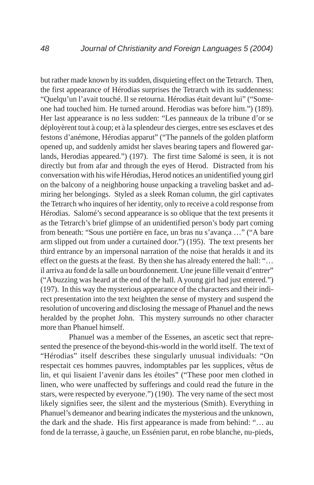but rather made known by its sudden, disquieting effect on the Tetrarch. Then, the first appearance of Hérodias surprises the Tetrarch with its suddenness: "Quelqu'un l'avait touché. Il se retourna. Hérodias était devant lui" ("Someone had touched him. He turned around. Herodias was before him.") (189). Her last appearance is no less sudden: "Les panneaux de la tribune d'or se déployèrent tout à coup; et à la splendeur des cierges, entre ses esclaves et des festons d'anémone, Hérodias apparut" ("The pannels of the golden platform opened up, and suddenly amidst her slaves bearing tapers and flowered garlands, Herodias appeared.") (197). The first time Salomé is seen, it is not directly but from afar and through the eyes of Herod. Distracted from his conversation with his wife Hérodias, Herod notices an unidentified young girl on the balcony of a neighboring house unpacking a traveling basket and admiring her belongings. Styled as a sleek Roman column, the girl captivates the Tetrarch who inquires of her identity, only to receive a cold response from Hérodias. Salomé's second appearance is so oblique that the text presents it as the Tetrarch's brief glimpse of an unidentified person's body part coming from beneath: "Sous une portière en face, un bras nu s'avança …" ("A bare arm slipped out from under a curtained door.") (195). The text presents her third entrance by an impersonal narration of the noise that heralds it and its effect on the guests at the feast. By then she has already entered the hall: "… il arriva au fond de la salle un bourdonnement. Une jeune fille venait d'entrer" ("A buzzing was heard at the end of the hall. A young girl had just entered.") (197). In this way the mysterious appearance of the characters and their indirect presentation into the text heighten the sense of mystery and suspend the resolution of uncovering and disclosing the message of Phanuel and the news heralded by the prophet John. This mystery surrounds no other character more than Phanuel himself.

Phanuel was a member of the Essenes, an ascetic sect that represented the presence of the beyond-this-world in the world itself. The text of "Hérodias" itself describes these singularly unusual individuals: "On respectait ces hommes pauvres, indomptables par les supplices, vêtus de lin, et qui lisaient l'avenir dans les étoiles" ("These poor men clothed in linen, who were unaffected by sufferings and could read the future in the stars, were respected by everyone.") (190). The very name of the sect most likely signifies seer, the silent and the mysterious (Smith). Everything in Phanuel's demeanor and bearing indicates the mysterious and the unknown, the dark and the shade. His first appearance is made from behind: "… au fond de la terrasse, à gauche, un Essénien parut, en robe blanche, nu-pieds,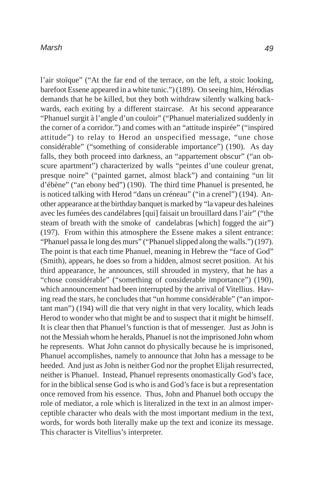l'air stoïque" ("At the far end of the terrace, on the left, a stoic looking, barefoot Essene appeared in a white tunic.") (189). On seeing him, Hérodias demands that he be killed, but they both withdraw silently walking backwards, each exiting by a different staircase. At his second appearance "Phanuel surgit à l'angle d'un couloir" ("Phanuel materialized suddenly in the corner of a corridor.") and comes with an "attitude inspirée" ("inspired attitude") to relay to Herod an unspecified message, "une chose considérable" ("something of considerable importance") (190). As day falls, they both proceed into darkness, an "appartement obscur" ("an obscure apartment") characterized by walls "peintes d'une couleur grenat, presque noire" ("painted garnet, almost black") and containing "un lit d'ébène" ("an ebony bed") (190). The third time Phanuel is presented, he is noticed talking with Herod "dans un créneau" ("in a crenel") (194). Another appearance at the birthday banquet is marked by "la vapeur des haleines avec les fumées des candélabres [qui] faisait un brouillard dans l'air" ("the steam of breath with the smoke of candelabras [which] fogged the air") (197). From within this atmosphere the Essene makes a silent entrance: "Phanuel passa le long des murs" ("Phanuel slipped along the walls.") (197). The point is that each time Phanuel, meaning in Hebrew the "face of God" (Smith), appears, he does so from a hidden, almost secret position. At his third appearance, he announces, still shrouded in mystery, that he has a "chose considérable" ("something of considerable importance") (190), which announcement had been interrupted by the arrival of Vitellius. Having read the stars, he concludes that "un homme considérable" ("an important man") (194) will die that very night in that very locality, which leads Herod to wonder who that might be and to suspect that it might be himself. It is clear then that Phanuel's function is that of messenger. Just as John is not the Messiah whom he heralds, Phanuel is not the imprisoned John whom he represents. What John cannot do physically because he is imprisoned, Phanuel accomplishes, namely to announce that John has a message to be heeded. And just as John is neither God nor the prophet Elijah resurrected, neither is Phanuel. Instead, Phanuel represents onomastically God's face, for in the biblical sense God is who is and God's face is but a representation once removed from his essence. Thus, John and Phanuel both occupy the role of mediator, a role which is literalized in the text in an almost imperceptible character who deals with the most important medium in the text, words, for words both literally make up the text and iconize its message. This character is Vitellius's interpreter.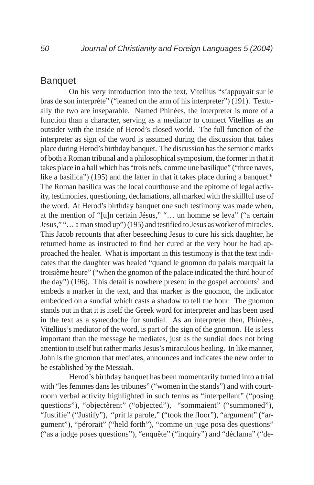## **Banquet**

On his very introduction into the text, Vitellius "s'appuyait sur le bras de son interprète" ("leaned on the arm of his interpreter") (191). Textually the two are inseparable. Named Phinées, the interpreter is more of a function than a character, serving as a mediator to connect Vitellius as an outsider with the inside of Herod's closed world. The full function of the interpreter as sign of the word is assumed during the discussion that takes place during Herod's birthday banquet. The discussion has the semiotic marks of both a Roman tribunal and a philosophical symposium, the former in that it takes place in a hall which has "trois nefs, comme une basilique" ("three naves, like a basilica") (195) and the latter in that it takes place during a banquet.<sup>6</sup> The Roman basilica was the local courthouse and the epitome of legal activity, testimonies, questioning, declamations, all marked with the skillful use of the word. At Herod's birthday banquet one such testimony was made when, at the mention of "[u]n certain Jésus," "… un homme se leva" ("a certain Jesus," "… a man stood up") (195) and testified to Jesus as worker of miracles. This Jacob recounts that after beseeching Jesus to cure his sick daughter, he returned home as instructed to find her cured at the very hour he had approached the healer. What is important in this testimony is that the text indicates that the daughter was healed "quand le gnomon du palais marquait la troisième heure" ("when the gnomon of the palace indicated the third hour of the day") (196). This detail is nowhere present in the gospel accounts<sup>7</sup> and embeds a marker in the text, and that marker is the gnomon, the indicator embedded on a sundial which casts a shadow to tell the hour. The gnomon stands out in that it is itself the Greek word for interpreter and has been used in the text as a synecdoche for sundial. As an interpreter then, Phinées, Vitellius's mediator of the word, is part of the sign of the gnomon. He is less important than the message he mediates, just as the sundial does not bring attention to itself but rather marks Jesus's miraculous healing. In like manner, John is the gnomon that mediates, announces and indicates the new order to be established by the Messiah.

Herod's birthday banquet has been momentarily turned into a trial with "les femmes dans les tribunes" ("women in the stands") and with courtroom verbal activity highlighted in such terms as "interpellant" ("posing questions"), "objectèrent" ("objected"), "sommaient" ("summoned"), "Justifie" ("Justify"), "prit la parole," ("took the floor"), "argument" ("argument"), "pérorait" ("held forth"), "comme un juge posa des questions" ("as a judge poses questions"), "enquête" ("inquiry") and "déclama" ("de-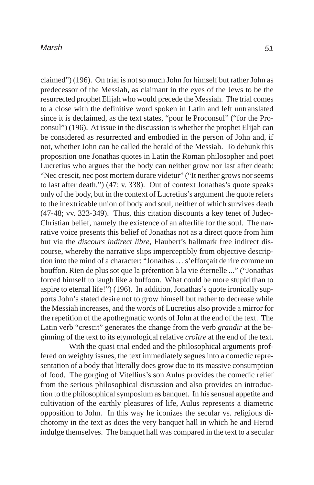claimed") (196). On trial is not so much John for himself but rather John as predecessor of the Messiah, as claimant in the eyes of the Jews to be the resurrected prophet Elijah who would precede the Messiah. The trial comes to a close with the definitive word spoken in Latin and left untranslated since it is declaimed, as the text states, "pour le Proconsul" ("for the Proconsul") (196). At issue in the discussion is whether the prophet Elijah can be considered as resurrected and embodied in the person of John and, if not, whether John can be called the herald of the Messiah. To debunk this proposition one Jonathas quotes in Latin the Roman philosopher and poet Lucretius who argues that the body can neither grow nor last after death: "Nec crescit, nec post mortem durare videtur" ("It neither grows nor seems to last after death.") (47; v. 338). Out of context Jonathas's quote speaks only of the body, but in the context of Lucretius's argument the quote refers to the inextricable union of body and soul, neither of which survives death (47-48; vv. 323-349). Thus, this citation discounts a key tenet of Judeo-Christian belief, namely the existence of an afterlife for the soul. The narrative voice presents this belief of Jonathas not as a direct quote from him but via the *discours indirect libre*, Flaubert's hallmark free indirect discourse, whereby the narrative slips imperceptibly from objective description into the mind of a character: "Jonathas … s'efforçait de rire comme un bouffon. Rien de plus sot que la prétention à la vie éternelle ..." ("Jonathas forced himself to laugh like a buffoon. What could be more stupid than to aspire to eternal life!") (196). In addition, Jonathas's quote ironically supports John's stated desire not to grow himself but rather to decrease while the Messiah increases, and the words of Lucretius also provide a mirror for the repetition of the apothegmatic words of John at the end of the text. The Latin verb "crescit" generates the change from the verb *grandir* at the beginning of the text to its etymological relative *croître* at the end of the text.

With the quasi trial ended and the philosophical arguments proffered on weighty issues, the text immediately segues into a comedic representation of a body that literally does grow due to its massive consumption of food. The gorging of Vitellius's son Aulus provides the comedic relief from the serious philosophical discussion and also provides an introduction to the philosophical symposium as banquet. In his sensual appetite and cultivation of the earthly pleasures of life, Aulus represents a diametric opposition to John. In this way he iconizes the secular vs. religious dichotomy in the text as does the very banquet hall in which he and Herod indulge themselves. The banquet hall was compared in the text to a secular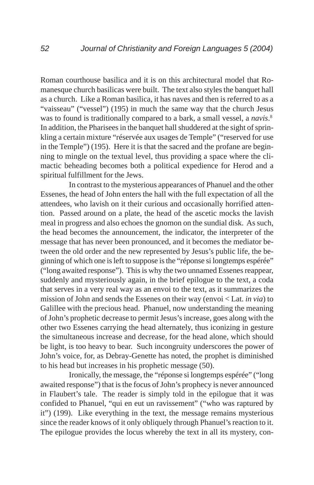Roman courthouse basilica and it is on this architectural model that Romanesque church basilicas were built. The text also styles the banquet hall as a church. Like a Roman basilica, it has naves and then is referred to as a "vaisseau" ("vessel") (195) in much the same way that the church Jesus was to found is traditionally compared to a bark, a small vessel, a *navis*. 8 In addition, the Pharisees in the banquet hall shuddered at the sight of sprinkling a certain mixture "réservée aux usages de Temple" ("reserved for use in the Temple") (195). Here it is that the sacred and the profane are beginning to mingle on the textual level, thus providing a space where the climactic beheading becomes both a political expedience for Herod and a spiritual fulfillment for the Jews.

In contrast to the mysterious appearances of Phanuel and the other Essenes, the head of John enters the hall with the full expectation of all the attendees, who lavish on it their curious and occasionally horrified attention. Passed around on a plate, the head of the ascetic mocks the lavish meal in progress and also echoes the gnomon on the sundial disk. As such, the head becomes the announcement, the indicator, the interpreter of the message that has never been pronounced, and it becomes the mediator between the old order and the new represented by Jesus's public life, the beginning of which one is left to suppose is the "réponse si longtemps espérée" ("long awaited response"). This is why the two unnamed Essenes reappear, suddenly and mysteriously again, in the brief epilogue to the text, a coda that serves in a very real way as an envoi to the text, as it summarizes the mission of John and sends the Essenes on their way (envoi < Lat. *in via*) to Galillee with the precious head. Phanuel, now understanding the meaning of John's prophetic decrease to permit Jesus's increase, goes along with the other two Essenes carrying the head alternately, thus iconizing in gesture the simultaneous increase and decrease, for the head alone, which should be light, is too heavy to bear. Such incongruity underscores the power of John's voice, for, as Debray-Genette has noted, the prophet is diminished to his head but increases in his prophetic message (50).

Ironically, the message, the "réponse si longtemps espérée" ("long awaited response") that is the focus of John's prophecy is never announced in Flaubert's tale. The reader is simply told in the epilogue that it was confided to Phanuel, "qui en eut un ravissement" ("who was raptured by it") (199). Like everything in the text, the message remains mysterious since the reader knows of it only obliquely through Phanuel's reaction to it. The epilogue provides the locus whereby the text in all its mystery, con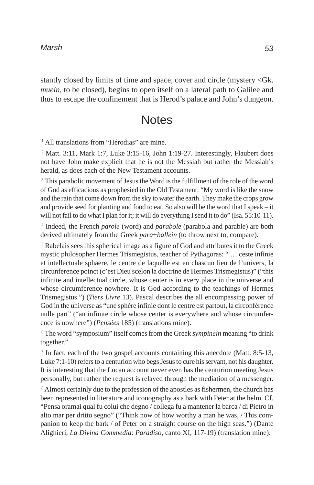stantly closed by limits of time and space, cover and circle (mystery <Gk. *muein*, to be closed), begins to open itself on a lateral path to Galilee and thus to escape the confinement that is Herod's palace and John's dungeon.

# **Notes**

<sup>1</sup> All translations from "Hérodias" are mine.

<sup>2</sup> Matt. 3:11, Mark 1:7, Luke 3:15-16, John 1:19-27. Interestingly, Flaubert does not have John make explicit that he is not the Messiah but rather the Messiah's herald, as does each of the New Testament accounts.

<sup>3</sup> This parabolic movement of Jesus the Word is the fulfillment of the role of the word of God as efficacious as prophesied in the Old Testament: "My word is like the snow and the rain that come down from the sky to water the earth. They make the crops grow and provide seed for planting and food to eat. So also will be the word that I speak – it will not fail to do what I plan for it; it will do everything I send it to do" (Isa. 55:10-11).

4 Indeed, the French *parole* (word) and *parabole* (parabola and parable) are both derived ultimately from the Greek *para*+*ballein* (to throw next to, compare).

<sup>5</sup> Rabelais sees this spherical image as a figure of God and attributes it to the Greek mystic philosopher Hermes Trismegistus, teacher of Pythagoras: " … ceste infinie et intellectuale sphaere, le centre de laquelle est en chascun lieu de l'univers, la circunference poinct (c'est Dieu scelon la doctrine de Hermes Trismegistus)" ("this infinite and intellectual circle, whose center is in every place in the universe and whose circumference nowhere. It is God according to the teachings of Hermes Trismegistus.") (*Tiers Livre* 13). Pascal describes the all encompassing power of God in the universe as "une sphère infinie dont le centre est partout, la circonférence nulle part" ("an infinite circle whose center is everywhere and whose circumference is nowhere") (*Pensées* 185) (translations mine).

6 The word "symposium" itself comes from the Greek *sympinein* meaning "to drink together."

<sup>7</sup> In fact, each of the two gospel accounts containing this anecdote (Matt. 8:5-13, Luke 7:1-10) refers to a centurion who begs Jesus to cure his servant, not his daughter. It is interesting that the Lucan account never even has the centurion meeting Jesus personally, but rather the request is relayed through the mediation of a messenger.

<sup>8</sup> Almost certainly due to the profession of the apostles as fishermen, the church has been represented in literature and iconography as a bark with Peter at the helm. Cf. "Pensa oramai qual fu colui che degno / collega fu a mantener la barca / di Pietro in alto mar per dritto segno" ("Think now of how worthy a man he was, / This companion to keep the bark / of Peter on a straight course on the high seas.") (Dante Alighieri, *La Divina Commedia*: *Paradiso*, canto XI, 117-19) (translation mine).